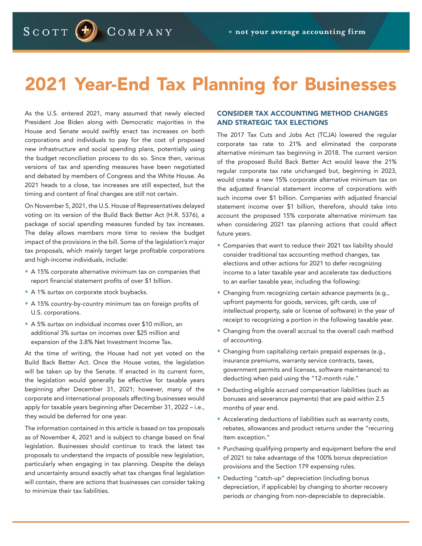SCOTT  $<sup>(+)</sup>$ </sup> COMPANY

# 2021 Year-End Tax Planning for Businesses

As the U.S. entered 2021, many assumed that newly elected President Joe Biden along with Democratic majorities in the House and Senate would swiftly enact tax increases on both corporations and individuals to pay for the cost of proposed new infrastructure and social spending plans, potentially using the budget reconciliation process to do so. Since then, various versions of tax and spending measures have been negotiated and debated by members of Congress and the White House. As 2021 heads to a close, tax increases are still expected, but the timing and content of final changes are still not certain.

On November 5, 2021, the U.S. House of Representatives delayed voting on its version of the Build Back Better Act (H.R. 5376), a package of social spending measures funded by tax increases. The delay allows members more time to review the budget impact of the provisions in the bill. Some of the legislation's major tax proposals, which mainly target large profitable corporations and high-income individuals, include:

- A 15% corporate alternative minimum tax on companies that report financial statement profits of over \$1 billion.
- A 1% surtax on corporate stock buybacks.
- A 15% country-by-country minimum tax on foreign profits of U.S. corporations.
- A 5% surtax on individual incomes over \$10 million, an additional 3% surtax on incomes over \$25 million and expansion of the 3.8% Net Investment Income Tax.

At the time of writing, the House had not yet voted on the Build Back Better Act. Once the House votes, the legislation will be taken up by the Senate. If enacted in its current form, the legislation would generally be effective for taxable years beginning after December 31, 2021; however, many of the corporate and international proposals affecting businesses would apply for taxable years beginning after December 31, 2022 – i.e., they would be deferred for one year.

The information contained in this article is based on tax proposals as of November 4, 2021 and is subject to change based on final legislation. Businesses should continue to track the latest tax proposals to understand the impacts of possible new legislation, particularly when engaging in tax planning. Despite the delays and uncertainty around exactly what tax changes final legislation will contain, there are actions that businesses can consider taking to minimize their tax liabilities.

# CONSIDER TAX ACCOUNTING METHOD CHANGES AND STRATEGIC TAX ELECTIONS

The 2017 Tax Cuts and Jobs Act (TCJA) lowered the regular corporate tax rate to 21% and eliminated the corporate alternative minimum tax beginning in 2018. The current version of the proposed Build Back Better Act would leave the 21% regular corporate tax rate unchanged but, beginning in 2023, would create a new 15% corporate alternative minimum tax on the adjusted financial statement income of corporations with such income over \$1 billion. Companies with adjusted financial statement income over \$1 billion, therefore, should take into account the proposed 15% corporate alternative minimum tax when considering 2021 tax planning actions that could affect future years.

- Companies that want to reduce their 2021 tax liability should consider traditional tax accounting method changes, tax elections and other actions for 2021 to defer recognizing income to a later taxable year and accelerate tax deductions to an earlier taxable year, including the following:
- Changing from recognizing certain advance payments (e.g., upfront payments for goods, services, gift cards, use of intellectual property, sale or license of software) in the year of receipt to recognizing a portion in the following taxable year.
- Changing from the overall accrual to the overall cash method of accounting.
- Changing from capitalizing certain prepaid expenses (e.g., insurance premiums, warranty service contracts, taxes, government permits and licenses, software maintenance) to deducting when paid using the "12-month rule."
- Deducting eligible accrued compensation liabilities (such as bonuses and severance payments) that are paid within 2.5 months of year end.
- Accelerating deductions of liabilities such as warranty costs, rebates, allowances and product returns under the "recurring item exception."
- Purchasing qualifying property and equipment before the end of 2021 to take advantage of the 100% bonus depreciation provisions and the Section 179 expensing rules.
- Deducting "catch-up" depreciation (including bonus depreciation, if applicable) by changing to shorter recovery periods or changing from non-depreciable to depreciable.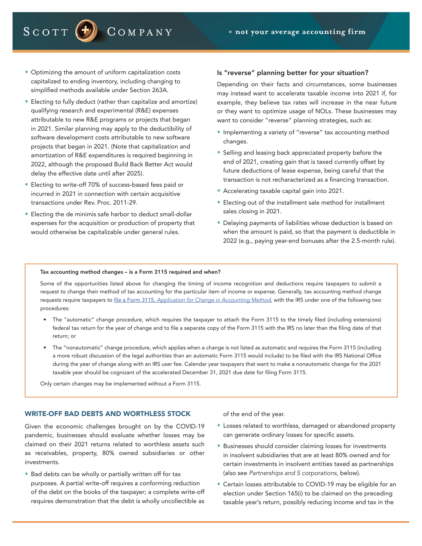• Optimizing the amount of uniform capitalization costs capitalized to ending inventory, including changing to simplified methods available under Section 263A.

COMPANY

- Electing to fully deduct (rather than capitalize and amortize) qualifying research and experimental (R&E) expenses attributable to new R&E programs or projects that began in 2021. Similar planning may apply to the deductibility of software development costs attributable to new software projects that began in 2021. (Note that capitalization and amortization of R&E expenditures is required beginning in 2022, although the proposed Build Back Better Act would delay the effective date until after 2025).
- Electing to write-off 70% of success-based fees paid or incurred in 2021 in connection with certain acquisitive transactions under Rev. Proc. 2011-29.
- Electing the de minimis safe harbor to deduct small-dollar expenses for the acquisition or production of property that would otherwise be capitalizable under general rules.

#### Is "reverse" planning better for your situation?

Depending on their facts and circumstances, some businesses may instead want to accelerate taxable income into 2021 if, for example, they believe tax rates will increase in the near future or they want to optimize usage of NOLs. These businesses may want to consider "reverse" planning strategies, such as:

- Implementing a variety of "reverse" tax accounting method changes.
- Selling and leasing back appreciated property before the end of 2021, creating gain that is taxed currently offset by future deductions of lease expense, being careful that the transaction is not recharacterized as a financing transaction.
- Accelerating taxable capital gain into 2021.
- Electing out of the installment sale method for installment sales closing in 2021.
- Delaying payments of liabilities whose deduction is based on when the amount is paid, so that the payment is deductible in 2022 (e.g., paying year-end bonuses after the 2.5-month rule).

#### Tax accounting method changes – is a Form 3115 required and when?

Some of the opportunities listed above for changing the timing of income recognition and deductions require taxpayers to submit a request to change their method of tax accounting for the particular item of income or expense. Generally, tax accounting method change requests require taxpayers to file a Form 3115, *Application for Change in Accounting Method*, with the IRS under one of the following two procedures:

- The "automatic" change procedure, which requires the taxpayer to attach the Form 3115 to the timely filed (including extensions) federal tax return for the year of change and to file a separate copy of the Form 3115 with the IRS no later than the filing date of that return; or
- The "nonautomatic" change procedure, which applies when a change is not listed as automatic and requires the Form 3115 (including a more robust discussion of the legal authorities than an automatic Form 3115 would include) to be filed with the IRS National Office during the year of change along with an IRS user fee. Calendar year taxpayers that want to make a nonautomatic change for the 2021 taxable year should be cognizant of the accelerated December 31, 2021 due date for filing Form 3115.

Only certain changes may be implemented without a Form 3115.

# WRITE-OFF BAD DEBTS AND WORTHLESS STOCK

Given the economic challenges brought on by the COVID-19 pandemic, businesses should evaluate whether losses may be claimed on their 2021 returns related to worthless assets such as receivables, property, 80% owned subsidiaries or other investments.

• Bad debts can be wholly or partially written off for tax purposes. A partial write-off requires a conforming reduction of the debt on the books of the taxpayer; a complete write-off requires demonstration that the debt is wholly uncollectible as

of the end of the year.

- Losses related to worthless, damaged or abandoned property can generate ordinary losses for specific assets.
- Businesses should consider claiming losses for investments in insolvent subsidiaries that are at least 80% owned and for certain investments in insolvent entities taxed as partnerships (also see *Partnerships and S corporations*, below).
- Certain losses attributable to COVID-19 may be eligible for an election under Section 165(i) to be claimed on the preceding taxable year's return, possibly reducing income and tax in the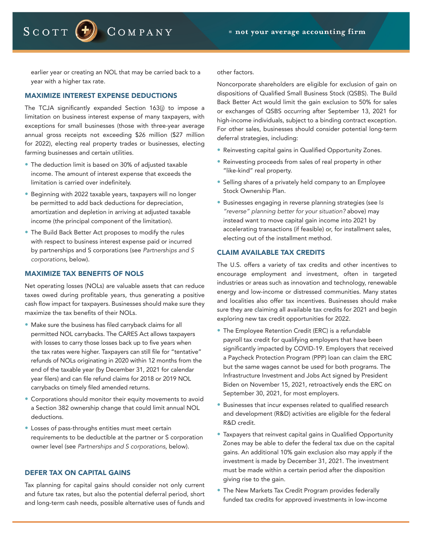COMPANY

earlier year or creating an NOL that may be carried back to a year with a higher tax rate.

# MAXIMIZE INTEREST EXPENSE DEDUCTIONS

SCOTT  $(-)$ 

The TCJA significantly expanded Section 163(j) to impose a limitation on business interest expense of many taxpayers, with exceptions for small businesses (those with three-year average annual gross receipts not exceeding \$26 million (\$27 million for 2022), electing real property trades or businesses, electing farming businesses and certain utilities.

- The deduction limit is based on 30% of adjusted taxable income. The amount of interest expense that exceeds the limitation is carried over indefinitely.
- Beginning with 2022 taxable years, taxpayers will no longer be permitted to add back deductions for depreciation, amortization and depletion in arriving at adjusted taxable income (the principal component of the limitation).
- The Build Back Better Act proposes to modify the rules with respect to business interest expense paid or incurred by partnerships and S corporations (see *Partnerships and S corporations*, below).

## MAXIMIZE TAX BENEFITS OF NOLS

Net operating losses (NOLs) are valuable assets that can reduce taxes owed during profitable years, thus generating a positive cash flow impact for taxpayers. Businesses should make sure they maximize the tax benefits of their NOLs.

- Make sure the business has filed carryback claims for all permitted NOL carrybacks. The CARES Act allows taxpayers with losses to carry those losses back up to five years when the tax rates were higher. Taxpayers can still file for "tentative" refunds of NOLs originating in 2020 within 12 months from the end of the taxable year (by December 31, 2021 for calendar year filers) and can file refund claims for 2018 or 2019 NOL carrybacks on timely filed amended returns.
- Corporations should monitor their equity movements to avoid a Section 382 ownership change that could limit annual NOL deductions.
- Losses of pass-throughs entities must meet certain requirements to be deductible at the partner or S corporation owner level (see *Partnerships and S corporations*, below).

#### DEFER TAX ON CAPITAL GAINS

Tax planning for capital gains should consider not only current and future tax rates, but also the potential deferral period, short and long-term cash needs, possible alternative uses of funds and

other factors.

Noncorporate shareholders are eligible for exclusion of gain on dispositions of Qualified Small Business Stock (QSBS). The Build Back Better Act would limit the gain exclusion to 50% for sales or exchanges of QSBS occurring after September 13, 2021 for high-income individuals, subject to a binding contract exception. For other sales, businesses should consider potential long-term deferral strategies, including:

- Reinvesting capital gains in Qualified Opportunity Zones.
- Reinvesting proceeds from sales of real property in other "like-kind" real property.
- Selling shares of a privately held company to an Employee Stock Ownership Plan.
- Businesses engaging in reverse planning strategies (see I*s "reverse" planning better for your situation?* above) may instead want to move capital gain income into 2021 by accelerating transactions (if feasible) or, for installment sales, electing out of the installment method.

## CLAIM AVAILABLE TAX CREDITS

The U.S. offers a variety of tax credits and other incentives to encourage employment and investment, often in targeted industries or areas such as innovation and technology, renewable energy and low-income or distressed communities. Many states and localities also offer tax incentives. Businesses should make sure they are claiming all available tax credits for 2021 and begin exploring new tax credit opportunities for 2022.

- The Employee Retention Credit (ERC) is a refundable payroll tax credit for qualifying employers that have been significantly impacted by COVID-19. Employers that received a Paycheck Protection Program (PPP) loan can claim the ERC but the same wages cannot be used for both programs. The Infrastructure Investment and Jobs Act signed by President Biden on November 15, 2021, retroactively ends the ERC on September 30, 2021, for most employers.
- Businesses that incur expenses related to qualified research and development (R&D) activities are eligible for the federal R&D credit.
- Taxpayers that reinvest capital gains in Qualified Opportunity Zones may be able to defer the federal tax due on the capital gains. An additional 10% gain exclusion also may apply if the investment is made by December 31, 2021. The investment must be made within a certain period after the disposition giving rise to the gain.
- The New Markets Tax Credit Program provides federally funded tax credits for approved investments in low-income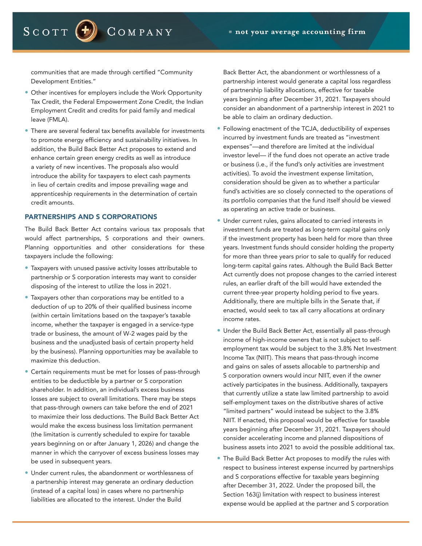communities that are made through certified "Community Development Entities."

COMPANY

SCOTT  $\left(\frac{1}{2}\right)$ 

- Other incentives for employers include the Work Opportunity Tax Credit, the Federal Empowerment Zone Credit, the Indian Employment Credit and credits for paid family and medical leave (FMLA).
- There are several federal tax benefits available for investments to promote energy efficiency and sustainability initiatives. In addition, the Build Back Better Act proposes to extend and enhance certain green energy credits as well as introduce a variety of new incentives. The proposals also would introduce the ability for taxpayers to elect cash payments in lieu of certain credits and impose prevailing wage and apprenticeship requirements in the determination of certain credit amounts.

#### PARTNERSHIPS AND S CORPORATIONS

The Build Back Better Act contains various tax proposals that would affect partnerships, S corporations and their owners. Planning opportunities and other considerations for these taxpayers include the following:

- Taxpayers with unused passive activity losses attributable to partnership or S corporation interests may want to consider disposing of the interest to utilize the loss in 2021.
- Taxpayers other than corporations may be entitled to a deduction of up to 20% of their qualified business income (within certain limitations based on the taxpayer's taxable income, whether the taxpayer is engaged in a service-type trade or business, the amount of W-2 wages paid by the business and the unadjusted basis of certain property held by the business). Planning opportunities may be available to maximize this deduction.
- Certain requirements must be met for losses of pass-through entities to be deductible by a partner or S corporation shareholder. In addition, an individual's excess business losses are subject to overall limitations. There may be steps that pass-through owners can take before the end of 2021 to maximize their loss deductions. The Build Back Better Act would make the excess business loss limitation permanent (the limitation is currently scheduled to expire for taxable years beginning on or after January 1, 2026) and change the manner in which the carryover of excess business losses may be used in subsequent years.
- Under current rules, the abandonment or worthlessness of a partnership interest may generate an ordinary deduction (instead of a capital loss) in cases where no partnership liabilities are allocated to the interest. Under the Build

Back Better Act, the abandonment or worthlessness of a partnership interest would generate a capital loss regardless of partnership liability allocations, effective for taxable years beginning after December 31, 2021. Taxpayers should consider an abandonment of a partnership interest in 2021 to be able to claim an ordinary deduction.

- Following enactment of the TCJA, deductibility of expenses incurred by investment funds are treated as "investment expenses"—and therefore are limited at the individual investor level— if the fund does not operate an active trade or business (i.e., if the fund's only activities are investment activities). To avoid the investment expense limitation, consideration should be given as to whether a particular fund's activities are so closely connected to the operations of its portfolio companies that the fund itself should be viewed as operating an active trade or business.
- Under current rules, gains allocated to carried interests in investment funds are treated as long-term capital gains only if the investment property has been held for more than three years. Investment funds should consider holding the property for more than three years prior to sale to qualify for reduced long-term capital gains rates. Although the Build Back Better Act currently does not propose changes to the carried interest rules, an earlier draft of the bill would have extended the current three-year property holding period to five years. Additionally, there are multiple bills in the Senate that, if enacted, would seek to tax all carry allocations at ordinary income rates.
- Under the Build Back Better Act, essentially all pass-through income of high-income owners that is not subject to selfemployment tax would be subject to the 3.8% Net Investment Income Tax (NIIT). This means that pass-through income and gains on sales of assets allocable to partnership and S corporation owners would incur NIIT, even if the owner actively participates in the business. Additionally, taxpayers that currently utilize a state law limited partnership to avoid self-employment taxes on the distributive shares of active "limited partners" would instead be subject to the 3.8% NIIT. If enacted, this proposal would be effective for taxable years beginning after December 31, 2021. Taxpayers should consider accelerating income and planned dispositions of business assets into 2021 to avoid the possible additional tax.
- The Build Back Better Act proposes to modify the rules with respect to business interest expense incurred by partnerships and S corporations effective for taxable years beginning after December 31, 2022. Under the proposed bill, the Section 163(j) limitation with respect to business interest expense would be applied at the partner and S corporation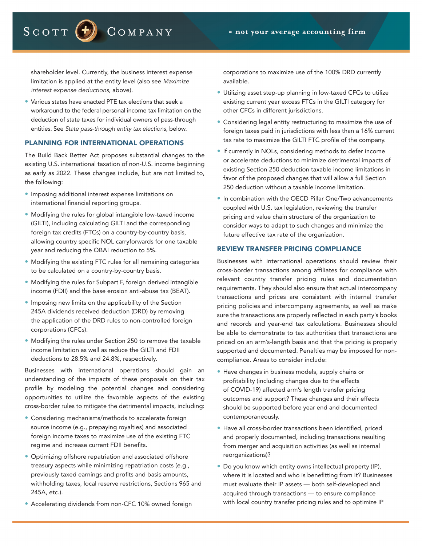SCOTT  $\left( \textbf{f} \right)$ COMPANY

shareholder level. Currently, the business interest expense limitation is applied at the entity level (also see *Maximize interest expense deductions*, above).

• Various states have enacted PTE tax elections that seek a workaround to the federal personal income tax limitation on the deduction of state taxes for individual owners of pass-through entities. See *State pass-through entity tax elections*, below.

#### PLANNING FOR INTERNATIONAL OPERATIONS

The Build Back Better Act proposes substantial changes to the existing U.S. international taxation of non-U.S. income beginning as early as 2022. These changes include, but are not limited to, the following:

- Imposing additional interest expense limitations on international financial reporting groups.
- Modifying the rules for global intangible low-taxed income (GILTI), including calculating GILTI and the corresponding foreign tax credits (FTCs) on a country-by-country basis, allowing country specific NOL carryforwards for one taxable year and reducing the QBAI reduction to 5%.
- Modifying the existing FTC rules for all remaining categories to be calculated on a country-by-country basis.
- Modifying the rules for Subpart F, foreign derived intangible income (FDII) and the base erosion anti-abuse tax (BEAT).
- Imposing new limits on the applicability of the Section 245A dividends received deduction (DRD) by removing the application of the DRD rules to non-controlled foreign corporations (CFCs).
- Modifying the rules under Section 250 to remove the taxable income limitation as well as reduce the GILTI and FDII deductions to 28.5% and 24.8%, respectively.

Businesses with international operations should gain an understanding of the impacts of these proposals on their tax profile by modeling the potential changes and considering opportunities to utilize the favorable aspects of the existing cross-border rules to mitigate the detrimental impacts, including:

- Considering mechanisms/methods to accelerate foreign source income (e.g., prepaying royalties) and associated foreign income taxes to maximize use of the existing FTC regime and increase current FDII benefits.
- Optimizing offshore repatriation and associated offshore treasury aspects while minimizing repatriation costs (e.g., previously taxed earnings and profits and basis amounts, withholding taxes, local reserve restrictions, Sections 965 and 245A, etc.).
- Accelerating dividends from non-CFC 10% owned foreign

corporations to maximize use of the 100% DRD currently available.

- Utilizing asset step-up planning in low-taxed CFCs to utilize existing current year excess FTCs in the GILTI category for other CFCs in different jurisdictions.
- Considering legal entity restructuring to maximize the use of foreign taxes paid in jurisdictions with less than a 16% current tax rate to maximize the GILTI FTC profile of the company.
- If currently in NOLs, considering methods to defer income or accelerate deductions to minimize detrimental impacts of existing Section 250 deduction taxable income limitations in favor of the proposed changes that will allow a full Section 250 deduction without a taxable income limitation.
- In combination with the OECD Pillar One/Two advancements coupled with U.S. tax legislation, reviewing the transfer pricing and value chain structure of the organization to consider ways to adapt to such changes and minimize the future effective tax rate of the organization.

### REVIEW TRANSFER PRICING COMPLIANCE

Businesses with international operations should review their cross-border transactions among affiliates for compliance with relevant country transfer pricing rules and documentation requirements. They should also ensure that actual intercompany transactions and prices are consistent with internal transfer pricing policies and intercompany agreements, as well as make sure the transactions are properly reflected in each party's books and records and year-end tax calculations. Businesses should be able to demonstrate to tax authorities that transactions are priced on an arm's-length basis and that the pricing is properly supported and documented. Penalties may be imposed for noncompliance. Areas to consider include:

- Have changes in business models, supply chains or profitability (including changes due to the effects of COVID-19) affected arm's length transfer pricing outcomes and support? These changes and their effects should be supported before year end and documented contemporaneously.
- Have all cross-border transactions been identified, priced and properly documented, including transactions resulting from merger and acquisition activities (as well as internal reorganizations)?
- Do you know which entity owns intellectual property (IP), where it is located and who is benefitting from it? Businesses must evaluate their IP assets — both self-developed and acquired through transactions — to ensure compliance with local country transfer pricing rules and to optimize IP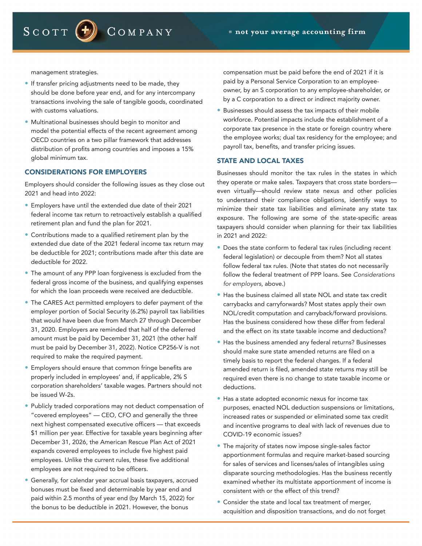management strategies.

SCOTT  $<sup>(+)</sup>$ </sup>

• If transfer pricing adjustments need to be made, they should be done before year end, and for any intercompany transactions involving the sale of tangible goods, coordinated with customs valuations.

COMPANY

• Multinational businesses should begin to monitor and model the potential effects of the recent agreement among OECD countries on a two pillar framework that addresses distribution of profits among countries and imposes a 15% global minimum tax.

#### CONSIDERATIONS FOR EMPLOYERS

Employers should consider the following issues as they close out 2021 and head into 2022:

- Employers have until the extended due date of their 2021 federal income tax return to retroactively establish a qualified retirement plan and fund the plan for 2021.
- Contributions made to a qualified retirement plan by the extended due date of the 2021 federal income tax return may be deductible for 2021; contributions made after this date are deductible for 2022.
- The amount of any PPP loan forgiveness is excluded from the federal gross income of the business, and qualifying expenses for which the loan proceeds were received are deductible.
- The CARES Act permitted employers to defer payment of the employer portion of Social Security (6.2%) payroll tax liabilities that would have been due from March 27 through December 31, 2020. Employers are reminded that half of the deferred amount must be paid by December 31, 2021 (the other half must be paid by December 31, 2022). Notice CP256-V is not required to make the required payment.
- Employers should ensure that common fringe benefits are properly included in employees' and, if applicable, 2% S corporation shareholders' taxable wages. Partners should not be issued W-2s.
- Publicly traded corporations may not deduct compensation of "covered employees" — CEO, CFO and generally the three next highest compensated executive officers — that exceeds \$1 million per year. Effective for taxable years beginning after December 31, 2026, the American Rescue Plan Act of 2021 expands covered employees to include five highest paid employees. Unlike the current rules, these five additional employees are not required to be officers.
- Generally, for calendar year accrual basis taxpayers, accrued bonuses must be fixed and determinable by year end and paid within 2.5 months of year end (by March 15, 2022) for the bonus to be deductible in 2021. However, the bonus

compensation must be paid before the end of 2021 if it is paid by a Personal Service Corporation to an employeeowner, by an S corporation to any employee-shareholder, or by a C corporation to a direct or indirect majority owner.

• Businesses should assess the tax impacts of their mobile workforce. Potential impacts include the establishment of a corporate tax presence in the state or foreign country where the employee works; dual tax residency for the employee; and payroll tax, benefits, and transfer pricing issues.

## STATE AND LOCAL TAXES

Businesses should monitor the tax rules in the states in which they operate or make sales. Taxpayers that cross state borders even virtually—should review state nexus and other policies to understand their compliance obligations, identify ways to minimize their state tax liabilities and eliminate any state tax exposure. The following are some of the state-specific areas taxpayers should consider when planning for their tax liabilities in 2021 and 2022:

- Does the state conform to federal tax rules (including recent federal legislation) or decouple from them? Not all states follow federal tax rules. (Note that states do not necessarily follow the federal treatment of PPP loans. See *Considerations for employers*, above.)
- Has the business claimed all state NOL and state tax credit carrybacks and carryforwards? Most states apply their own NOL/credit computation and carryback/forward provisions. Has the business considered how these differ from federal and the effect on its state taxable income and deductions?
- Has the business amended any federal returns? Businesses should make sure state amended returns are filed on a timely basis to report the federal changes. If a federal amended return is filed, amended state returns may still be required even there is no change to state taxable income or deductions.
- Has a state adopted economic nexus for income tax purposes, enacted NOL deduction suspensions or limitations, increased rates or suspended or eliminated some tax credit and incentive programs to deal with lack of revenues due to COVID-19 economic issues?
- The majority of states now impose single-sales factor apportionment formulas and require market-based sourcing for sales of services and licenses/sales of intangibles using disparate sourcing methodologies. Has the business recently examined whether its multistate apportionment of income is consistent with or the effect of this trend?
- Consider the state and local tax treatment of merger, acquisition and disposition transactions, and do not forget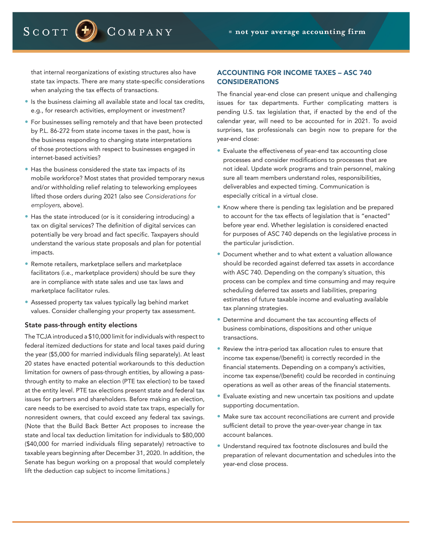that internal reorganizations of existing structures also have state tax impacts. There are many state-specific considerations when analyzing the tax effects of transactions.

COMPANY

SCOTT  $\left| \cdot \right|$ 

- Is the business claiming all available state and local tax credits, e.g., for research activities, employment or investment?
- For businesses selling remotely and that have been protected by P.L. 86-272 from state income taxes in the past, how is the business responding to changing state interpretations of those protections with respect to businesses engaged in internet-based activities?
- Has the business considered the state tax impacts of its mobile workforce? Most states that provided temporary nexus and/or withholding relief relating to teleworking employees lifted those orders during 2021 (also see *Considerations for employers*, above).
- Has the state introduced (or is it considering introducing) a tax on digital services? The definition of digital services can potentially be very broad and fact specific. Taxpayers should understand the various state proposals and plan for potential impacts.
- Remote retailers, marketplace sellers and marketplace facilitators (i.e., marketplace providers) should be sure they are in compliance with state sales and use tax laws and marketplace facilitator rules.
- Assessed property tax values typically lag behind market values. Consider challenging your property tax assessment.

#### State pass-through entity elections

The TCJA introduced a \$10,000 limit for individuals with respect to federal itemized deductions for state and local taxes paid during the year (\$5,000 for married individuals filing separately). At least 20 states have enacted potential workarounds to this deduction limitation for owners of pass-through entities, by allowing a passthrough entity to make an election (PTE tax election) to be taxed at the entity level. PTE tax elections present state and federal tax issues for partners and shareholders. Before making an election, care needs to be exercised to avoid state tax traps, especially for nonresident owners, that could exceed any federal tax savings. (Note that the Build Back Better Act proposes to increase the state and local tax deduction limitation for individuals to \$80,000 (\$40,000 for married individuals filing separately) retroactive to taxable years beginning after December 31, 2020. In addition, the Senate has begun working on a proposal that would completely lift the deduction cap subject to income limitations.)

# ACCOUNTING FOR INCOME TAXES – ASC 740 CONSIDERATIONS

The financial year-end close can present unique and challenging issues for tax departments. Further complicating matters is pending U.S. tax legislation that, if enacted by the end of the calendar year, will need to be accounted for in 2021. To avoid surprises, tax professionals can begin now to prepare for the year-end close:

- Evaluate the effectiveness of year-end tax accounting close processes and consider modifications to processes that are not ideal. Update work programs and train personnel, making sure all team members understand roles, responsibilities, deliverables and expected timing. Communication is especially critical in a virtual close.
- Know where there is pending tax legislation and be prepared to account for the tax effects of legislation that is "enacted" before year end. Whether legislation is considered enacted for purposes of ASC 740 depends on the legislative process in the particular jurisdiction.
- Document whether and to what extent a valuation allowance should be recorded against deferred tax assets in accordance with ASC 740. Depending on the company's situation, this process can be complex and time consuming and may require scheduling deferred tax assets and liabilities, preparing estimates of future taxable income and evaluating available tax planning strategies.
- Determine and document the tax accounting effects of business combinations, dispositions and other unique transactions.
- Review the intra-period tax allocation rules to ensure that income tax expense/(benefit) is correctly recorded in the financial statements. Depending on a company's activities, income tax expense/(benefit) could be recorded in continuing operations as well as other areas of the financial statements.
- Evaluate existing and new uncertain tax positions and update supporting documentation.
- Make sure tax account reconciliations are current and provide sufficient detail to prove the year-over-year change in tax account balances.
- Understand required tax footnote disclosures and build the preparation of relevant documentation and schedules into the year-end close process.